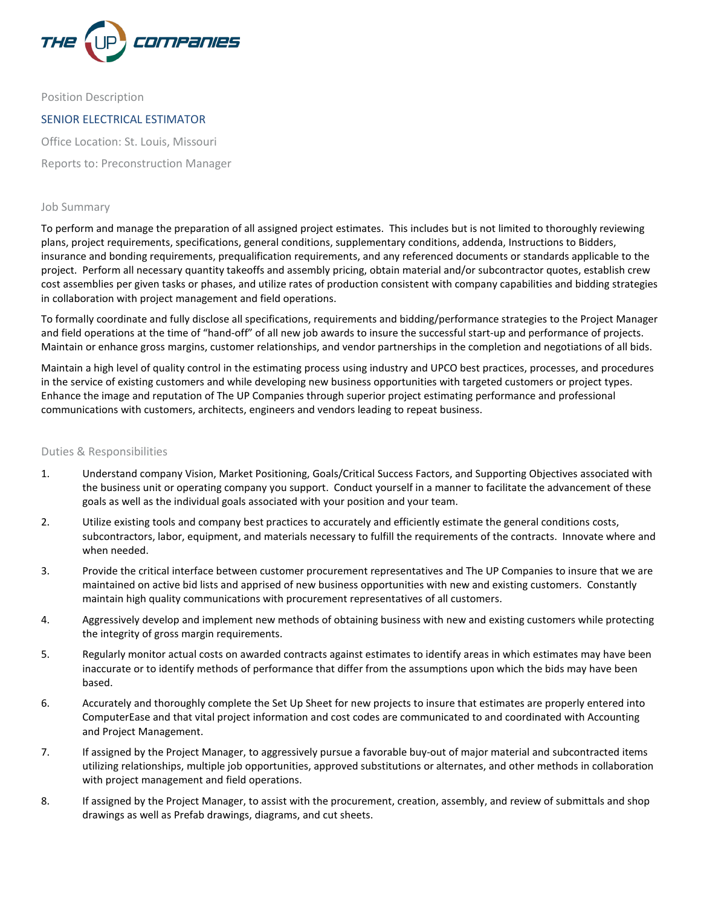

Position Description

# SENIOR ELECTRICAL ESTIMATOR

Office Location: St. Louis, Missouri

Reports to: Preconstruction Manager

#### Job Summary

To perform and manage the preparation of all assigned project estimates. This includes but is not limited to thoroughly reviewing plans, project requirements, specifications, general conditions, supplementary conditions, addenda, Instructions to Bidders, insurance and bonding requirements, prequalification requirements, and any referenced documents or standards applicable to the project. Perform all necessary quantity takeoffs and assembly pricing, obtain material and/or subcontractor quotes, establish crew cost assemblies per given tasks or phases, and utilize rates of production consistent with company capabilities and bidding strategies in collaboration with project management and field operations.

To formally coordinate and fully disclose all specifications, requirements and bidding/performance strategies to the Project Manager and field operations at the time of "hand-off" of all new job awards to insure the successful start-up and performance of projects. Maintain or enhance gross margins, customer relationships, and vendor partnerships in the completion and negotiations of all bids.

Maintain a high level of quality control in the estimating process using industry and UPCO best practices, processes, and procedures in the service of existing customers and while developing new business opportunities with targeted customers or project types. Enhance the image and reputation of The UP Companies through superior project estimating performance and professional communications with customers, architects, engineers and vendors leading to repeat business.

#### Duties & Responsibilities

- 1. Understand company Vision, Market Positioning, Goals/Critical Success Factors, and Supporting Objectives associated with the business unit or operating company you support. Conduct yourself in a manner to facilitate the advancement of these goals as well as the individual goals associated with your position and your team.
- 2. Utilize existing tools and company best practices to accurately and efficiently estimate the general conditions costs, subcontractors, labor, equipment, and materials necessary to fulfill the requirements of the contracts. Innovate where and when needed.
- 3. Provide the critical interface between customer procurement representatives and The UP Companies to insure that we are maintained on active bid lists and apprised of new business opportunities with new and existing customers. Constantly maintain high quality communications with procurement representatives of all customers.
- 4. Aggressively develop and implement new methods of obtaining business with new and existing customers while protecting the integrity of gross margin requirements.
- 5. Regularly monitor actual costs on awarded contracts against estimates to identify areas in which estimates may have been inaccurate or to identify methods of performance that differ from the assumptions upon which the bids may have been based.
- 6. Accurately and thoroughly complete the Set Up Sheet for new projects to insure that estimates are properly entered into ComputerEase and that vital project information and cost codes are communicated to and coordinated with Accounting and Project Management.
- 7. If assigned by the Project Manager, to aggressively pursue a favorable buy-out of major material and subcontracted items utilizing relationships, multiple job opportunities, approved substitutions or alternates, and other methods in collaboration with project management and field operations.
- 8. If assigned by the Project Manager, to assist with the procurement, creation, assembly, and review of submittals and shop drawings as well as Prefab drawings, diagrams, and cut sheets.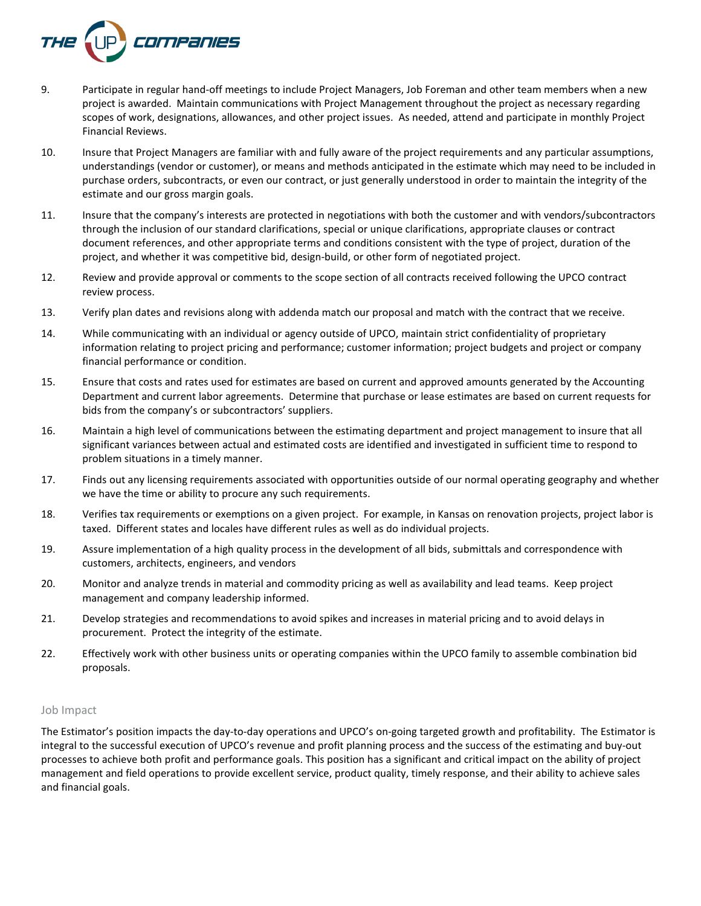

- 9. Participate in regular hand-off meetings to include Project Managers, Job Foreman and other team members when a new project is awarded. Maintain communications with Project Management throughout the project as necessary regarding scopes of work, designations, allowances, and other project issues. As needed, attend and participate in monthly Project Financial Reviews.
- 10. Insure that Project Managers are familiar with and fully aware of the project requirements and any particular assumptions, understandings (vendor or customer), or means and methods anticipated in the estimate which may need to be included in purchase orders, subcontracts, or even our contract, or just generally understood in order to maintain the integrity of the estimate and our gross margin goals.
- 11. Insure that the company's interests are protected in negotiations with both the customer and with vendors/subcontractors through the inclusion of our standard clarifications, special or unique clarifications, appropriate clauses or contract document references, and other appropriate terms and conditions consistent with the type of project, duration of the project, and whether it was competitive bid, design-build, or other form of negotiated project.
- 12. Review and provide approval or comments to the scope section of all contracts received following the UPCO contract review process.
- 13. Verify plan dates and revisions along with addenda match our proposal and match with the contract that we receive.
- 14. While communicating with an individual or agency outside of UPCO, maintain strict confidentiality of proprietary information relating to project pricing and performance; customer information; project budgets and project or company financial performance or condition.
- 15. Ensure that costs and rates used for estimates are based on current and approved amounts generated by the Accounting Department and current labor agreements. Determine that purchase or lease estimates are based on current requests for bids from the company's or subcontractors' suppliers.
- 16. Maintain a high level of communications between the estimating department and project management to insure that all significant variances between actual and estimated costs are identified and investigated in sufficient time to respond to problem situations in a timely manner.
- 17. Finds out any licensing requirements associated with opportunities outside of our normal operating geography and whether we have the time or ability to procure any such requirements.
- 18. Verifies tax requirements or exemptions on a given project. For example, in Kansas on renovation projects, project labor is taxed. Different states and locales have different rules as well as do individual projects.
- 19. Assure implementation of a high quality process in the development of all bids, submittals and correspondence with customers, architects, engineers, and vendors
- 20. Monitor and analyze trends in material and commodity pricing as well as availability and lead teams. Keep project management and company leadership informed.
- 21. Develop strategies and recommendations to avoid spikes and increases in material pricing and to avoid delays in procurement. Protect the integrity of the estimate.
- 22. Effectively work with other business units or operating companies within the UPCO family to assemble combination bid proposals.

#### Job Impact

The Estimator's position impacts the day-to-day operations and UPCO's on-going targeted growth and profitability. The Estimator is integral to the successful execution of UPCO's revenue and profit planning process and the success of the estimating and buy-out processes to achieve both profit and performance goals. This position has a significant and critical impact on the ability of project management and field operations to provide excellent service, product quality, timely response, and their ability to achieve sales and financial goals.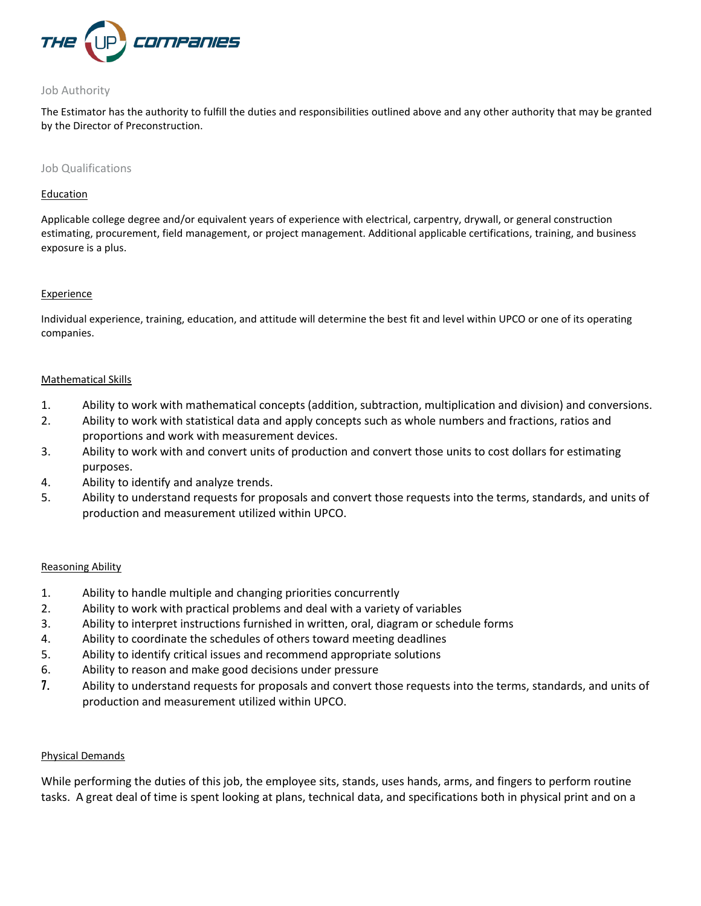

## Job Authority

The Estimator has the authority to fulfill the duties and responsibilities outlined above and any other authority that may be granted by the Director of Preconstruction.

#### Job Qualifications

#### **Education**

Applicable college degree and/or equivalent years of experience with electrical, carpentry, drywall, or general construction estimating, procurement, field management, or project management. Additional applicable certifications, training, and business exposure is a plus.

## **Experience**

Individual experience, training, education, and attitude will determine the best fit and level within UPCO or one of its operating companies.

## Mathematical Skills

- 1. Ability to work with mathematical concepts (addition, subtraction, multiplication and division) and conversions.
- 2. Ability to work with statistical data and apply concepts such as whole numbers and fractions, ratios and proportions and work with measurement devices.
- 3. Ability to work with and convert units of production and convert those units to cost dollars for estimating purposes.
- 4. Ability to identify and analyze trends.
- 5. Ability to understand requests for proposals and convert those requests into the terms, standards, and units of production and measurement utilized within UPCO.

## Reasoning Ability

- 1. Ability to handle multiple and changing priorities concurrently
- 2. Ability to work with practical problems and deal with a variety of variables
- 3. Ability to interpret instructions furnished in written, oral, diagram or schedule forms
- 4. Ability to coordinate the schedules of others toward meeting deadlines
- 5. Ability to identify critical issues and recommend appropriate solutions
- 6. Ability to reason and make good decisions under pressure
- 7. Ability to understand requests for proposals and convert those requests into the terms, standards, and units of production and measurement utilized within UPCO.

# Physical Demands

While performing the duties of this job, the employee sits, stands, uses hands, arms, and fingers to perform routine tasks. A great deal of time is spent looking at plans, technical data, and specifications both in physical print and on a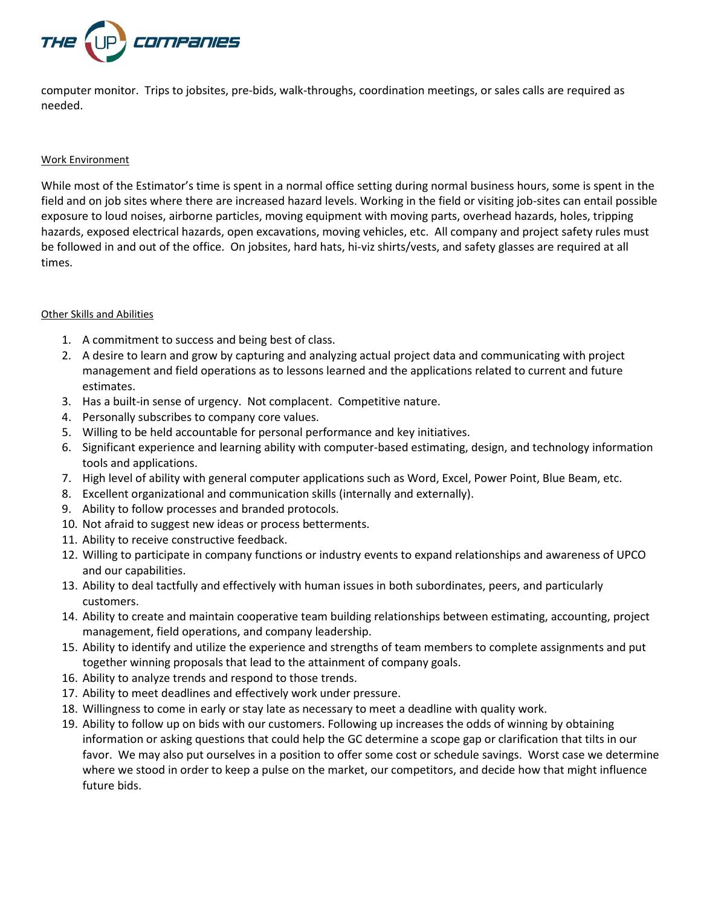

computer monitor. Trips to jobsites, pre-bids, walk-throughs, coordination meetings, or sales calls are required as needed.

## Work Environment

While most of the Estimator's time is spent in a normal office setting during normal business hours, some is spent in the field and on job sites where there are increased hazard levels. Working in the field or visiting job-sites can entail possible exposure to loud noises, airborne particles, moving equipment with moving parts, overhead hazards, holes, tripping hazards, exposed electrical hazards, open excavations, moving vehicles, etc. All company and project safety rules must be followed in and out of the office. On jobsites, hard hats, hi-viz shirts/vests, and safety glasses are required at all times.

## Other Skills and Abilities

- 1. A commitment to success and being best of class.
- 2. A desire to learn and grow by capturing and analyzing actual project data and communicating with project management and field operations as to lessons learned and the applications related to current and future estimates.
- 3. Has a built-in sense of urgency. Not complacent. Competitive nature.
- 4. Personally subscribes to company core values.
- 5. Willing to be held accountable for personal performance and key initiatives.
- 6. Significant experience and learning ability with computer-based estimating, design, and technology information tools and applications.
- 7. High level of ability with general computer applications such as Word, Excel, Power Point, Blue Beam, etc.
- 8. Excellent organizational and communication skills (internally and externally).
- 9. Ability to follow processes and branded protocols.
- 10. Not afraid to suggest new ideas or process betterments.
- 11. Ability to receive constructive feedback.
- 12. Willing to participate in company functions or industry events to expand relationships and awareness of UPCO and our capabilities.
- 13. Ability to deal tactfully and effectively with human issues in both subordinates, peers, and particularly customers.
- 14. Ability to create and maintain cooperative team building relationships between estimating, accounting, project management, field operations, and company leadership.
- 15. Ability to identify and utilize the experience and strengths of team members to complete assignments and put together winning proposals that lead to the attainment of company goals.
- 16. Ability to analyze trends and respond to those trends.
- 17. Ability to meet deadlines and effectively work under pressure.
- 18. Willingness to come in early or stay late as necessary to meet a deadline with quality work.
- 19. Ability to follow up on bids with our customers. Following up increases the odds of winning by obtaining information or asking questions that could help the GC determine a scope gap or clarification that tilts in our favor. We may also put ourselves in a position to offer some cost or schedule savings. Worst case we determine where we stood in order to keep a pulse on the market, our competitors, and decide how that might influence future bids.